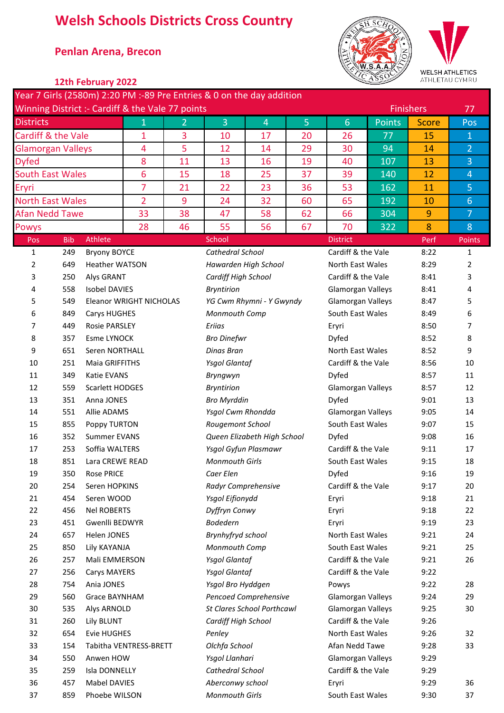# **Welsh Schools Districts Cross Country**

### \* **Penlan Arena, Brecon**



WELSH ATHLETICS<br>ATHLETAU CYMRU

|                                           |                                                              | 12th February 2022                                                                                                                                                                                                                                                                             |    |                      |                                                                       |                                   |                    |                         | $\subseteq$ ASS | ATHLETAU CYMRU   |                |
|-------------------------------------------|--------------------------------------------------------------|------------------------------------------------------------------------------------------------------------------------------------------------------------------------------------------------------------------------------------------------------------------------------------------------|----|----------------------|-----------------------------------------------------------------------|-----------------------------------|--------------------|-------------------------|-----------------|------------------|----------------|
|                                           |                                                              |                                                                                                                                                                                                                                                                                                |    |                      | Year 7 Girls (2580m) 2:20 PM :-89 Pre Entries & 0 on the day addition |                                   |                    |                         |                 |                  |                |
|                                           |                                                              | Winning District :- Cardiff & the Vale 77 points                                                                                                                                                                                                                                               |    |                      |                                                                       |                                   |                    |                         |                 | <b>Finishers</b> | 77             |
| <b>Districts</b>                          |                                                              |                                                                                                                                                                                                                                                                                                | 1  | 2                    | 3                                                                     | $\overline{4}$                    | 5                  | $6\phantom{1}6$         | <b>Points</b>   | <b>Score</b>     | Pos            |
| Cardiff & the Vale                        |                                                              |                                                                                                                                                                                                                                                                                                | 1  | 3                    | 10                                                                    | 17                                | 20                 | 26                      | 77              | 15               | $\mathbf{1}$   |
| <b>Glamorgan Valleys</b>                  |                                                              |                                                                                                                                                                                                                                                                                                | 4  | 5                    | 12                                                                    | 14                                | 29                 | 30                      | 94              | 14               | $\overline{2}$ |
| <b>Dyfed</b>                              |                                                              |                                                                                                                                                                                                                                                                                                | 8  | 11                   | 13                                                                    | 16                                | 19                 | 40                      | 107             | 13               | 3              |
| <b>South East Wales</b>                   |                                                              |                                                                                                                                                                                                                                                                                                | 6  | 15                   | 18                                                                    | 25                                | 37                 | 39                      | 140             | 12               | $\overline{4}$ |
| Eryri                                     |                                                              |                                                                                                                                                                                                                                                                                                | 7  | 21                   | 22                                                                    | 23                                | 36                 | 53                      | 162             | 11               | 5              |
| $\overline{2}$<br><b>North East Wales</b> |                                                              |                                                                                                                                                                                                                                                                                                | 9  | 24                   | 32                                                                    | 60                                | 65                 | 192                     | 10              | 6                |                |
| <b>Afan Nedd Tawe</b>                     |                                                              |                                                                                                                                                                                                                                                                                                | 33 | 38                   | 47                                                                    | 58                                | 62                 | 66                      | 304             | 9                | $\overline{7}$ |
| <b>Powys</b>                              |                                                              |                                                                                                                                                                                                                                                                                                | 28 | 46                   | 55                                                                    | 56                                | 67                 | 70                      | 322             | 8                | 8              |
| Pos                                       | <b>Bib</b>                                                   | Athlete                                                                                                                                                                                                                                                                                        |    |                      | School                                                                |                                   |                    | <b>District</b>         |                 | Perf             | Points         |
| $\mathbf{1}$                              | 249                                                          |                                                                                                                                                                                                                                                                                                |    |                      | Cathedral School                                                      |                                   |                    | Cardiff & the Vale      |                 | 8:22             | 1              |
| 2                                         | 649                                                          | <b>Heather WATSON</b>                                                                                                                                                                                                                                                                          |    |                      |                                                                       | Hawarden High School              |                    | <b>North East Wales</b> |                 | 8:29             | 2              |
| 3                                         | 250                                                          |                                                                                                                                                                                                                                                                                                |    |                      | Cardiff High School                                                   |                                   |                    | Cardiff & the Vale      |                 | 8:41             | 3              |
| 4                                         | 558                                                          |                                                                                                                                                                                                                                                                                                |    |                      | <b>Bryntirion</b>                                                     |                                   |                    | Glamorgan Valleys       |                 | 8:41             | 4              |
| 5                                         | 549                                                          |                                                                                                                                                                                                                                                                                                |    |                      |                                                                       | YG Cwm Rhymni - Y Gwyndy          |                    | Glamorgan Valleys       |                 | 8:47             | 5              |
| 6                                         | 849                                                          | <b>Bryony BOYCE</b><br><b>Alys GRANT</b><br><b>Isobel DAVIES</b><br>Eleanor WRIGHT NICHOLAS<br>Carys HUGHES<br><b>Rosie PARSLEY</b><br><b>Esme LYNOCK</b><br>Seren NORTHALL<br>Maia GRIFFITHS<br>Katie EVANS<br>Scarlett HODGES<br>Anna JONES<br>Allie ADAMS<br>Poppy TURTON<br>Summer EVANS   |    |                      |                                                                       | Monmouth Comp                     |                    | South East Wales        |                 | 8:49             | 6              |
| 7                                         | 449                                                          |                                                                                                                                                                                                                                                                                                |    | Eriias               |                                                                       |                                   | Eryri              |                         | 8:50            | 7                |                |
| 8                                         | 357                                                          |                                                                                                                                                                                                                                                                                                |    |                      | <b>Bro Dinefwr</b>                                                    |                                   |                    | Dyfed                   |                 | 8:52             | 8              |
| 9                                         | 651                                                          |                                                                                                                                                                                                                                                                                                |    |                      | Dinas Bran                                                            |                                   |                    | <b>North East Wales</b> |                 | 8:52             | 9              |
| 251<br>10<br>11<br>349<br>12<br>559       |                                                              |                                                                                                                                                                                                                                                                                                |    | <b>Ysgol Glantaf</b> |                                                                       |                                   | Cardiff & the Vale |                         | 8:56            | 10               |                |
|                                           |                                                              |                                                                                                                                                                                                                                                                                                |    |                      | Bryngwyn                                                              |                                   |                    | Dyfed                   |                 | 8:57             | 11             |
|                                           |                                                              |                                                                                                                                                                                                                                                                                                |    |                      | <b>Bryntirion</b>                                                     |                                   |                    | Glamorgan Valleys       |                 | 8:57             | 12             |
| 13                                        | 351                                                          |                                                                                                                                                                                                                                                                                                |    |                      | <b>Bro Myrddin</b>                                                    |                                   |                    | Dyfed                   |                 | 9:01             | 13             |
| 14<br>551                                 |                                                              |                                                                                                                                                                                                                                                                                                |    | Ysgol Cwm Rhondda    |                                                                       |                                   | Glamorgan Valleys  |                         | 9:05            | 14               |                |
| 15                                        | 855<br>16<br>352<br>17<br>253<br>Soffia WALTERS<br>18<br>851 |                                                                                                                                                                                                                                                                                                |    |                      | Rougemont School                                                      |                                   |                    | South East Wales        |                 | 9:07             | 15             |
|                                           |                                                              |                                                                                                                                                                                                                                                                                                |    |                      |                                                                       | Queen Elizabeth High School       |                    | Dyfed                   |                 | 9:08             | 16             |
|                                           |                                                              |                                                                                                                                                                                                                                                                                                |    |                      |                                                                       | Ysgol Gyfun Plasmawr              |                    | Cardiff & the Vale      |                 | 9:11             | 17             |
|                                           |                                                              |                                                                                                                                                                                                                                                                                                |    |                      | <b>Monmouth Girls</b>                                                 |                                   |                    | South East Wales        |                 | 9:15             | 18             |
| 19                                        | 350                                                          |                                                                                                                                                                                                                                                                                                |    |                      | Caer Elen                                                             |                                   |                    | Dyfed                   |                 | 9:16             | 19             |
| 20                                        | 254                                                          |                                                                                                                                                                                                                                                                                                |    |                      | Radyr Comprehensive                                                   |                                   |                    | Cardiff & the Vale      |                 | 9:17             | 20             |
| 21                                        | 454                                                          |                                                                                                                                                                                                                                                                                                |    |                      | Ysgol Eifionydd                                                       |                                   |                    | Eryri                   |                 | 9:18             | 21             |
| 22                                        | 456                                                          |                                                                                                                                                                                                                                                                                                |    |                      | Dyffryn Conwy                                                         |                                   |                    | Eryri                   |                 | 9:18             | 22             |
| 23                                        | 451                                                          |                                                                                                                                                                                                                                                                                                |    |                      | <b>Bodedern</b>                                                       |                                   |                    | Eryri                   |                 | 9:19             | 23             |
| 24                                        | 657                                                          |                                                                                                                                                                                                                                                                                                |    |                      | Brynhyfryd school                                                     |                                   |                    | North East Wales        |                 | 9:21             | 24             |
| 25                                        | 850                                                          |                                                                                                                                                                                                                                                                                                |    |                      | Monmouth Comp                                                         |                                   |                    | South East Wales        |                 | 9:21             | 25             |
| 26                                        | 257                                                          | Lara CREWE READ<br><b>Rose PRICE</b><br>Seren HOPKINS<br>Seren WOOD<br><b>Nel ROBERTS</b><br>Gwenlli BEDWYR<br>Helen JONES<br>Lily KAYANJA<br>Mali EMMERSON<br><b>Carys MAYERS</b><br>Ania JONES<br>Grace BAYNHAM<br>Alys ARNOLD<br>Lily BLUNT<br><b>Evie HUGHES</b><br>Tabitha VENTRESS-BRETT |    |                      | <b>Ysgol Glantaf</b>                                                  |                                   |                    | Cardiff & the Vale      |                 | 9:21             | 26             |
| 27                                        | 256                                                          |                                                                                                                                                                                                                                                                                                |    |                      | <b>Ysgol Glantaf</b>                                                  |                                   |                    | Cardiff & the Vale      |                 | 9:22             |                |
| 28                                        | 754                                                          |                                                                                                                                                                                                                                                                                                |    |                      | Ysgol Bro Hyddgen                                                     |                                   |                    | Powys                   |                 | 9:22             | 28             |
| 29                                        | 560                                                          |                                                                                                                                                                                                                                                                                                |    |                      |                                                                       | Pencoed Comprehensive             |                    | Glamorgan Valleys       |                 | 9:24             | 29             |
| 30                                        | 535                                                          |                                                                                                                                                                                                                                                                                                |    |                      |                                                                       | <b>St Clares School Porthcawl</b> |                    | Glamorgan Valleys       |                 | 9:25             | 30             |
| 31                                        | 260                                                          |                                                                                                                                                                                                                                                                                                |    |                      | Cardiff High School                                                   |                                   |                    | Cardiff & the Vale      |                 | 9:26             |                |
| 32                                        | 654                                                          |                                                                                                                                                                                                                                                                                                |    |                      | Penley                                                                |                                   |                    | North East Wales        |                 | 9:26             | 32             |
| 33                                        | 154                                                          |                                                                                                                                                                                                                                                                                                |    |                      | Olchfa School                                                         |                                   |                    | Afan Nedd Tawe          |                 | 9:28             | 33             |
| 34                                        | 550                                                          | Anwen HOW                                                                                                                                                                                                                                                                                      |    |                      | Ysgol Llanhari                                                        |                                   |                    | Glamorgan Valleys       |                 | 9:29             |                |
| 35                                        | 259                                                          | Isla DONNELLY                                                                                                                                                                                                                                                                                  |    |                      | Cathedral School                                                      |                                   |                    | Cardiff & the Vale      |                 | 9:29             |                |
| 36                                        | 457                                                          | Mabel DAVIES                                                                                                                                                                                                                                                                                   |    |                      | Aberconwy school                                                      |                                   |                    | Eryri                   |                 | 9:29             | 36             |
| 37                                        | 859                                                          | Phoebe WILSON                                                                                                                                                                                                                                                                                  |    |                      | <b>Monmouth Girls</b>                                                 |                                   |                    | South East Wales        |                 | 9:30             | 37             |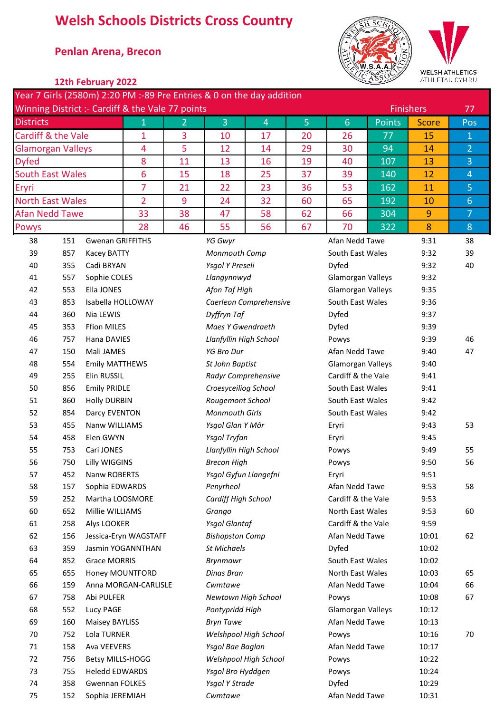# **Welsh Schools Districts Cross Country**

## \* **Penlan Arena, Brecon**





| 12th February 2022 |  |
|--------------------|--|
|--------------------|--|

|                                                  |                         |                         |                       |                | Year 7 Girls (2580m) 2:20 PM :-89 Pre Entries & 0 on the day addition |                        |    |                                    |                  |                  |                |
|--------------------------------------------------|-------------------------|-------------------------|-----------------------|----------------|-----------------------------------------------------------------------|------------------------|----|------------------------------------|------------------|------------------|----------------|
| Winning District :- Cardiff & the Vale 77 points |                         |                         |                       |                |                                                                       |                        |    |                                    |                  | <b>Finishers</b> |                |
| <b>Districts</b>                                 |                         |                         | $\mathbf{1}$          | $\overline{2}$ | 3                                                                     | $\overline{4}$         | 5  | $6 \overline{6}$                   | <b>Points</b>    | <b>Score</b>     | Pos            |
| Cardiff & the Vale                               |                         |                         | $\mathbf{1}$          | 3              | 10                                                                    | 17                     | 20 | 26                                 | 77               | 15               | $\mathbf{1}$   |
| <b>Glamorgan Valleys</b>                         |                         |                         | $\overline{4}$        | 5              | 12                                                                    | 14                     | 29 | 30                                 | 94               | 14               | $\overline{2}$ |
| <b>Dyfed</b>                                     |                         |                         | 8                     | 11             | 13                                                                    | 16                     | 19 | 40                                 | 107              | 13               | 3              |
| <b>South East Wales</b>                          |                         |                         | 6                     | 15             | 18                                                                    | 25                     | 37 | 39                                 | 140              | 12               | $\overline{4}$ |
| Eryri                                            |                         |                         | 7                     | 21             | 22                                                                    | 23                     | 36 | 53                                 | 162              | 11               | 5              |
|                                                  | <b>North East Wales</b> |                         |                       | 9              | 24                                                                    | 32                     | 60 | 65                                 | 192              | 10               | $6\phantom{1}$ |
| <b>Afan Nedd Tawe</b>                            |                         |                         | 33                    | 38             | 47                                                                    | 58                     | 62 | 66                                 | 304              | 9                | $\overline{7}$ |
| Powys                                            |                         |                         | 28                    | 46             | 55                                                                    | 56                     | 67 | 70                                 | 322              | 8                | $8\phantom{1}$ |
| 38                                               | 151                     | <b>Gwenan GRIFFITHS</b> |                       |                | YG Gwyr                                                               |                        |    | Afan Nedd Tawe                     |                  | 9:31             | 38             |
| 39                                               | 857                     | Kacey BATTY             |                       |                | Monmouth Comp                                                         |                        |    | South East Wales                   |                  | 9:32             | 39             |
| 40                                               | 355                     | Cadi BRYAN              |                       |                | Ysgol Y Preseli                                                       |                        |    | Dyfed                              |                  | 9:32             | 40             |
| 41                                               | 557                     | Sophie COLES            |                       |                | Llangynnwyd                                                           |                        |    | Glamorgan Valleys                  |                  | 9:32             |                |
| 42                                               | 553                     | Ella JONES              |                       |                | Afon Taf High                                                         |                        |    | Glamorgan Valleys                  |                  | 9:35             |                |
| 43                                               | 853                     | Isabella HOLLOWAY       |                       |                |                                                                       | Caerleon Comprehensive |    | South East Wales                   |                  | 9:36             |                |
| 44                                               | 360                     | Nia LEWIS               |                       |                | Dyffryn Taf                                                           |                        |    | Dyfed                              |                  | 9:37             |                |
| 45                                               | 353                     | <b>Ffion MILES</b>      |                       |                | Maes Y Gwendraeth                                                     |                        |    | Dyfed                              |                  | 9:39             |                |
| 46                                               | 757                     | Hana DAVIES             |                       |                | Llanfyllin High School                                                |                        |    | Powys                              |                  | 9:39             | 46             |
| 47                                               | 150                     | Mali JAMES              |                       |                | <b>YG Bro Dur</b>                                                     |                        |    | Afan Nedd Tawe                     |                  | 9:40             | 47             |
| 48                                               | 554                     | <b>Emily MATTHEWS</b>   |                       |                | St John Baptist                                                       |                        |    | Glamorgan Valleys                  |                  | 9:40             |                |
| 49                                               | 255                     | Elin RUSSIL             |                       |                |                                                                       | Radyr Comprehensive    |    | Cardiff & the Vale                 |                  | 9:41             |                |
| 50                                               | 856                     | <b>Emily PRIDLE</b>     |                       |                | Croesyceiliog School                                                  |                        |    | South East Wales                   |                  | 9:41             |                |
| 51                                               | 860                     | <b>Holly DURBIN</b>     |                       |                | Rougemont School                                                      |                        |    |                                    | South East Wales |                  |                |
| 52                                               | 854                     | Darcy EVENTON           |                       |                | <b>Monmouth Girls</b>                                                 |                        |    | South East Wales                   |                  | 9:42             |                |
| 53                                               | 455                     | Nanw WILLIAMS           |                       |                | Ysgol Glan Y Môr                                                      |                        |    | Eryri                              |                  | 9:43             | 53             |
| 54                                               | 458                     | Elen GWYN               |                       |                | Ysgol Tryfan                                                          |                        |    | Eryri                              |                  | 9:45             |                |
| 55                                               | 753                     | Cari JONES              |                       |                | Llanfyllin High School                                                |                        |    | Powys                              |                  | 9:49             | 55             |
| 56                                               | 750                     | <b>Lilly WIGGINS</b>    |                       |                | <b>Brecon High</b>                                                    |                        |    | Powys                              |                  | 9:50             | 56             |
| 57                                               | 452                     | Nanw ROBERTS            |                       |                |                                                                       | Ysgol Gyfun Llangefni  |    | Eryri                              |                  | 9:51             |                |
| 58                                               | 157                     | Sophia EDWARDS          |                       |                | Penyrheol                                                             |                        |    | Afan Nedd Tawe                     |                  | 9:53             | 58             |
| 59                                               | 252                     | Martha LOOSMORE         |                       |                | Cardiff High School                                                   |                        |    | Cardiff & the Vale                 |                  | 9:53             |                |
| 60                                               | 652                     | Millie WILLIAMS         |                       |                | Grango                                                                |                        |    | North East Wales                   |                  | 9:53             | 60             |
| 61                                               | 258                     | Alys LOOKER             |                       |                | <b>Ysgol Glantaf</b>                                                  |                        |    | Cardiff & the Vale                 |                  | 9:59             |                |
| 62                                               | 156                     |                         | Jessica-Eryn WAGSTAFF |                | <b>Bishopston Comp</b>                                                |                        |    | Afan Nedd Tawe                     |                  | 10:01            | 62             |
| 63                                               | 359                     |                         | Jasmin YOGANNTHAN     |                | <b>St Michaels</b>                                                    |                        |    | Dyfed                              |                  | 10:02            |                |
| 64                                               | 852                     | <b>Grace MORRIS</b>     |                       |                | <b>Brynmawr</b>                                                       |                        |    | South East Wales                   |                  | 10:02            |                |
| 65<br>66                                         | 655                     | Honey MOUNTFORD         |                       |                | Dinas Bran<br>Cwmtawe                                                 |                        |    | North East Wales<br>Afan Nedd Tawe |                  | 10:03            | 65<br>66       |
| 67                                               | 159<br>758              | Anna MORGAN-CARLISLE    |                       |                |                                                                       | Newtown High School    |    |                                    |                  | 10:04            | 67             |
| 68                                               | 552                     | Abi PULFER<br>Lucy PAGE |                       |                | Pontypridd High                                                       |                        |    | Powys<br>Glamorgan Valleys         |                  | 10:08<br>10:12   |                |
| 69                                               | 160                     | <b>Maisey BAYLISS</b>   |                       |                | <b>Bryn Tawe</b>                                                      |                        |    | Afan Nedd Tawe                     |                  | 10:13            |                |
| 70                                               | 752                     | Lola TURNER             |                       |                |                                                                       | Welshpool High School  |    | Powys                              |                  | 10:16            | 70             |
| 71                                               | 158                     | Ava VEEVERS             |                       |                | Ysgol Bae Baglan                                                      |                        |    | Afan Nedd Tawe                     |                  | 10:17            |                |
| 72                                               | 756                     | <b>Betsy MILLS-HOGG</b> |                       |                |                                                                       | Welshpool High School  |    | Powys                              |                  | 10:22            |                |
| 73                                               | 755                     | <b>Heledd EDWARDS</b>   |                       |                | Ysgol Bro Hyddgen                                                     |                        |    | Powys                              |                  | 10:24            |                |
| 74                                               | 358                     | <b>Gwennan FOLKES</b>   |                       |                | Ysgol Y Strade                                                        |                        |    | Dyfed                              |                  | 10:29            |                |
| 75                                               | 152                     | Sophia JEREMIAH         |                       |                | Cwmtawe                                                               |                        |    | Afan Nedd Tawe                     |                  | 10:31            |                |
|                                                  |                         |                         |                       |                |                                                                       |                        |    |                                    |                  |                  |                |